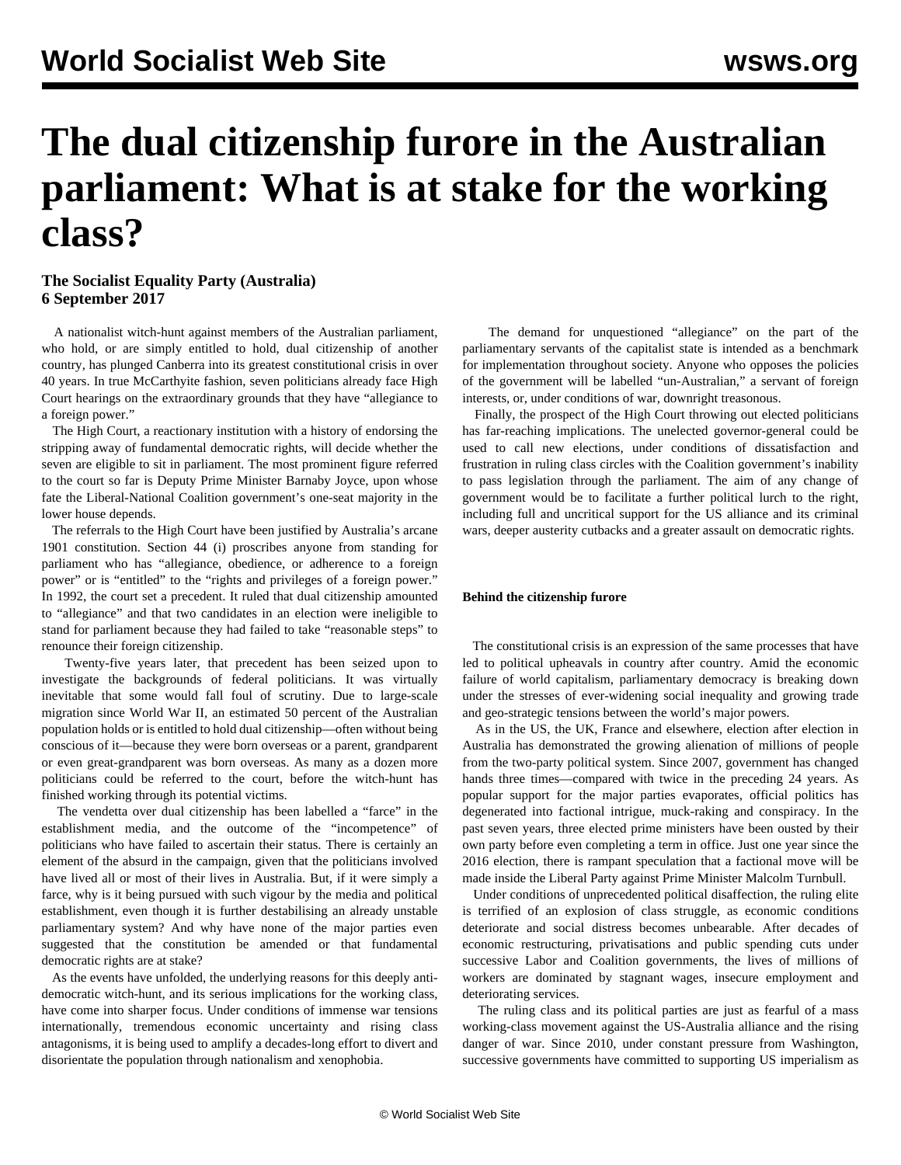# **The dual citizenship furore in the Australian parliament: What is at stake for the working class?**

### **The Socialist Equality Party (Australia) 6 September 2017**

 A nationalist witch-hunt against members of the Australian parliament, who hold, or are simply entitled to hold, dual citizenship of another country, has plunged Canberra into its greatest constitutional crisis in over 40 years. In true McCarthyite fashion, seven politicians already face High Court hearings on the extraordinary grounds that they have "allegiance to a foreign power."

 The High Court, a reactionary institution with a history of endorsing the stripping away of fundamental democratic rights, will decide whether the seven are eligible to sit in parliament. The most prominent figure referred to the court so far is Deputy Prime Minister Barnaby Joyce, upon whose fate the Liberal-National Coalition government's one-seat majority in the lower house depends.

 The referrals to the High Court have been justified by Australia's arcane 1901 constitution. Section 44 (i) proscribes anyone from standing for parliament who has "allegiance, obedience, or adherence to a foreign power" or is "entitled" to the "rights and privileges of a foreign power." In 1992, the court set a precedent. It ruled that dual citizenship amounted to "allegiance" and that two candidates in an election were ineligible to stand for parliament because they had failed to take "reasonable steps" to renounce their foreign citizenship.

 Twenty-five years later, that precedent has been seized upon to investigate the backgrounds of federal politicians. It was virtually inevitable that some would fall foul of scrutiny. Due to large-scale migration since World War II, an estimated 50 percent of the Australian population holds or is entitled to hold dual citizenship—often without being conscious of it—because they were born overseas or a parent, grandparent or even great-grandparent was born overseas. As many as a dozen more politicians could be referred to the court, before the witch-hunt has finished working through its potential victims.

 The vendetta over dual citizenship has been labelled a "farce" in the establishment media, and the outcome of the "incompetence" of politicians who have failed to ascertain their status. There is certainly an element of the absurd in the campaign, given that the politicians involved have lived all or most of their lives in Australia. But, if it were simply a farce, why is it being pursued with such vigour by the media and political establishment, even though it is further destabilising an already unstable parliamentary system? And why have none of the major parties even suggested that the constitution be amended or that fundamental democratic rights are at stake?

 As the events have unfolded, the underlying reasons for this deeply antidemocratic witch-hunt, and its serious implications for the working class, have come into sharper focus. Under conditions of immense war tensions internationally, tremendous economic uncertainty and rising class antagonisms, it is being used to amplify a decades-long effort to divert and disorientate the population through nationalism and xenophobia.

 The demand for unquestioned "allegiance" on the part of the parliamentary servants of the capitalist state is intended as a benchmark for implementation throughout society. Anyone who opposes the policies of the government will be labelled "un-Australian," a servant of foreign interests, or, under conditions of war, downright treasonous.

 Finally, the prospect of the High Court throwing out elected politicians has far-reaching implications. The unelected governor-general could be used to call new elections, under conditions of dissatisfaction and frustration in ruling class circles with the Coalition government's inability to pass legislation through the parliament. The aim of any change of government would be to facilitate a further political lurch to the right, including full and uncritical support for the US alliance and its criminal wars, deeper austerity cutbacks and a greater assault on democratic rights.

#### **Behind the citizenship furore**

 The constitutional crisis is an expression of the same processes that have led to political upheavals in country after country. Amid the economic failure of world capitalism, parliamentary democracy is breaking down under the stresses of ever-widening social inequality and growing trade and geo-strategic tensions between the world's major powers.

 As in the US, the UK, France and elsewhere, election after election in Australia has demonstrated the growing alienation of millions of people from the two-party political system. Since 2007, government has changed hands three times—compared with twice in the preceding 24 years. As popular support for the major parties evaporates, official politics has degenerated into factional intrigue, muck-raking and conspiracy. In the past seven years, three elected prime ministers have been ousted by their own party before even completing a term in office. Just one year since the 2016 election, there is rampant speculation that a factional move will be made inside the Liberal Party against Prime Minister Malcolm Turnbull.

 Under conditions of unprecedented political disaffection, the ruling elite is terrified of an explosion of class struggle, as economic conditions deteriorate and social distress becomes unbearable. After decades of economic restructuring, privatisations and public spending cuts under successive Labor and Coalition governments, the lives of millions of workers are dominated by stagnant wages, insecure employment and deteriorating services.

 The ruling class and its political parties are just as fearful of a mass working-class movement against the US-Australia alliance and the rising danger of war. Since 2010, under constant pressure from Washington, successive governments have committed to supporting US imperialism as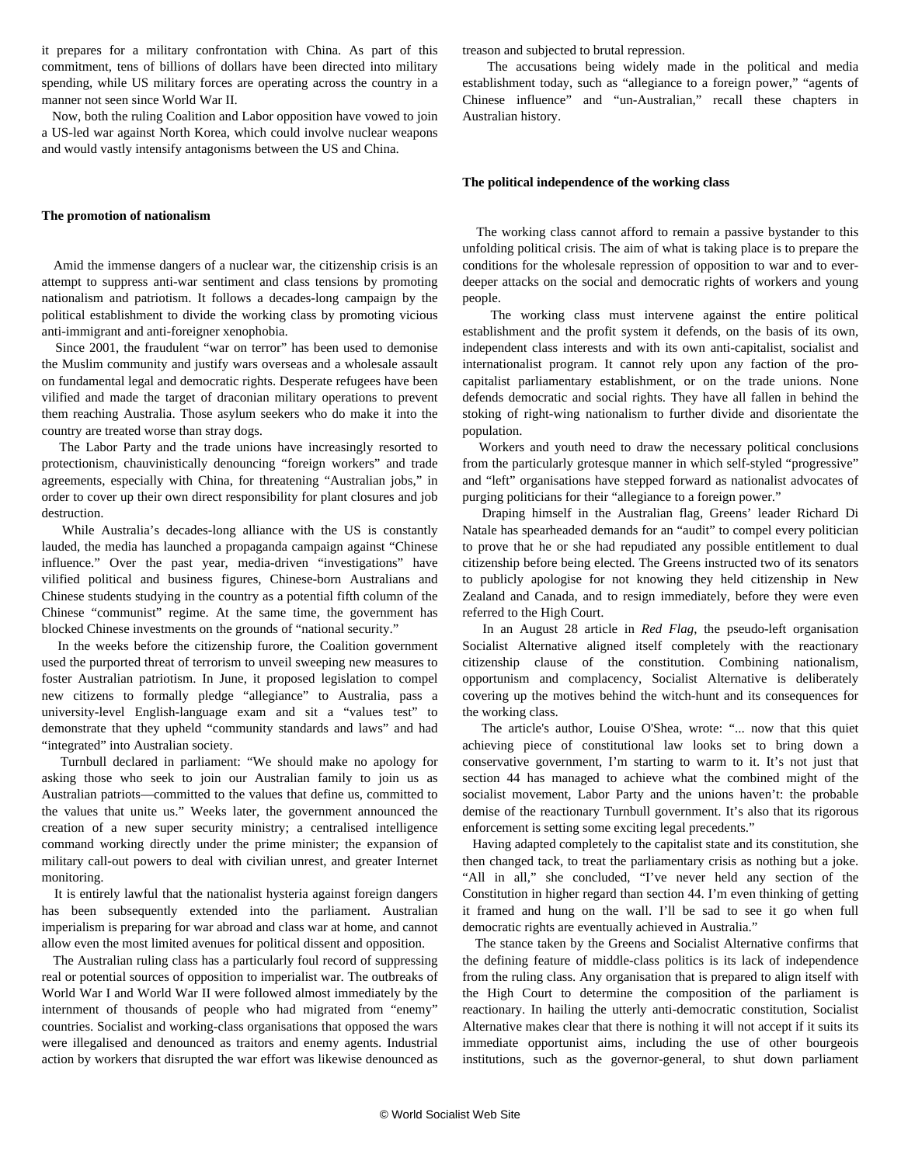it prepares for a military confrontation with China. As part of this commitment, tens of billions of dollars have been directed into military spending, while US military forces are operating across the country in a manner not seen since World War II.

 Now, both the ruling Coalition and Labor opposition have vowed to join a US-led war against North Korea, which could involve nuclear weapons and would vastly intensify antagonisms between the US and China.

#### **The promotion of nationalism**

 Amid the immense dangers of a nuclear war, the citizenship crisis is an attempt to suppress anti-war sentiment and class tensions by promoting nationalism and patriotism. It follows a decades-long campaign by the political establishment to divide the working class by promoting vicious anti-immigrant and anti-foreigner xenophobia.

 Since 2001, the fraudulent "war on terror" has been used to demonise the Muslim community and justify wars overseas and a wholesale assault on fundamental legal and democratic rights. Desperate refugees have been vilified and made the target of draconian military operations to prevent them reaching Australia. Those asylum seekers who do make it into the country are treated worse than stray dogs.

 The Labor Party and the trade unions have increasingly resorted to protectionism, chauvinistically denouncing "foreign workers" and trade agreements, especially with China, for threatening "Australian jobs," in order to cover up their own direct responsibility for plant closures and job destruction.

 While Australia's decades-long alliance with the US is constantly lauded, the media has launched a propaganda campaign against "Chinese influence." Over the past year, media-driven "investigations" have vilified political and business figures, Chinese-born Australians and Chinese students studying in the country as a potential fifth column of the Chinese "communist" regime. At the same time, the government has blocked Chinese investments on the grounds of "national security."

 In the weeks before the citizenship furore, the Coalition government used the purported threat of terrorism to unveil sweeping new measures to foster Australian patriotism. In June, it proposed legislation to compel new citizens to formally pledge "allegiance" to Australia, pass a university-level English-language exam and sit a "values test" to demonstrate that they upheld "community standards and laws" and had "integrated" into Australian society.

 Turnbull declared in parliament: "We should make no apology for asking those who seek to join our Australian family to join us as Australian patriots—committed to the values that define us, committed to the values that unite us." Weeks later, the government announced the creation of a new super security ministry; a centralised intelligence command working directly under the prime minister; the expansion of military call-out powers to deal with civilian unrest, and greater Internet monitoring.

 It is entirely lawful that the nationalist hysteria against foreign dangers has been subsequently extended into the parliament. Australian imperialism is preparing for war abroad and class war at home, and cannot allow even the most limited avenues for political dissent and opposition.

 The Australian ruling class has a particularly foul record of suppressing real or potential sources of opposition to imperialist war. The outbreaks of World War I and World War II were followed almost immediately by the internment of thousands of people who had migrated from "enemy" countries. Socialist and working-class organisations that opposed the wars were illegalised and denounced as traitors and enemy agents. Industrial action by workers that disrupted the war effort was likewise denounced as

treason and subjected to brutal repression.

 The accusations being widely made in the political and media establishment today, such as "allegiance to a foreign power," "agents of Chinese influence" and "un-Australian," recall these chapters in Australian history.

#### **The political independence of the working class**

 The working class cannot afford to remain a passive bystander to this unfolding political crisis. The aim of what is taking place is to prepare the conditions for the wholesale repression of opposition to war and to everdeeper attacks on the social and democratic rights of workers and young people.

 The working class must intervene against the entire political establishment and the profit system it defends, on the basis of its own, independent class interests and with its own anti-capitalist, socialist and internationalist program. It cannot rely upon any faction of the procapitalist parliamentary establishment, or on the trade unions. None defends democratic and social rights. They have all fallen in behind the stoking of right-wing nationalism to further divide and disorientate the population.

 Workers and youth need to draw the necessary political conclusions from the particularly grotesque manner in which self-styled "progressive" and "left" organisations have stepped forward as nationalist advocates of purging politicians for their "allegiance to a foreign power."

 Draping himself in the Australian flag, Greens' leader Richard Di Natale has spearheaded demands for an "audit" to compel every politician to prove that he or she had repudiated any possible entitlement to dual citizenship before being elected. The Greens instructed two of its senators to publicly apologise for not knowing they held citizenship in New Zealand and Canada, and to resign immediately, before they were even referred to the High Court.

 In an August 28 article in *Red Flag*, the pseudo-left organisation Socialist Alternative aligned itself completely with the reactionary citizenship clause of the constitution. Combining nationalism, opportunism and complacency, Socialist Alternative is deliberately covering up the motives behind the witch-hunt and its consequences for the working class.

 The article's author, Louise O'Shea, wrote: "... now that this quiet achieving piece of constitutional law looks set to bring down a conservative government, I'm starting to warm to it. It's not just that section 44 has managed to achieve what the combined might of the socialist movement, Labor Party and the unions haven't: the probable demise of the reactionary Turnbull government. It's also that its rigorous enforcement is setting some exciting legal precedents."

 Having adapted completely to the capitalist state and its constitution, she then changed tack, to treat the parliamentary crisis as nothing but a joke. "All in all," she concluded, "I've never held any section of the Constitution in higher regard than section 44. I'm even thinking of getting it framed and hung on the wall. I'll be sad to see it go when full democratic rights are eventually achieved in Australia."

 The stance taken by the Greens and Socialist Alternative confirms that the defining feature of middle-class politics is its lack of independence from the ruling class. Any organisation that is prepared to align itself with the High Court to determine the composition of the parliament is reactionary. In hailing the utterly anti-democratic constitution, Socialist Alternative makes clear that there is nothing it will not accept if it suits its immediate opportunist aims, including the use of other bourgeois institutions, such as the governor-general, to shut down parliament